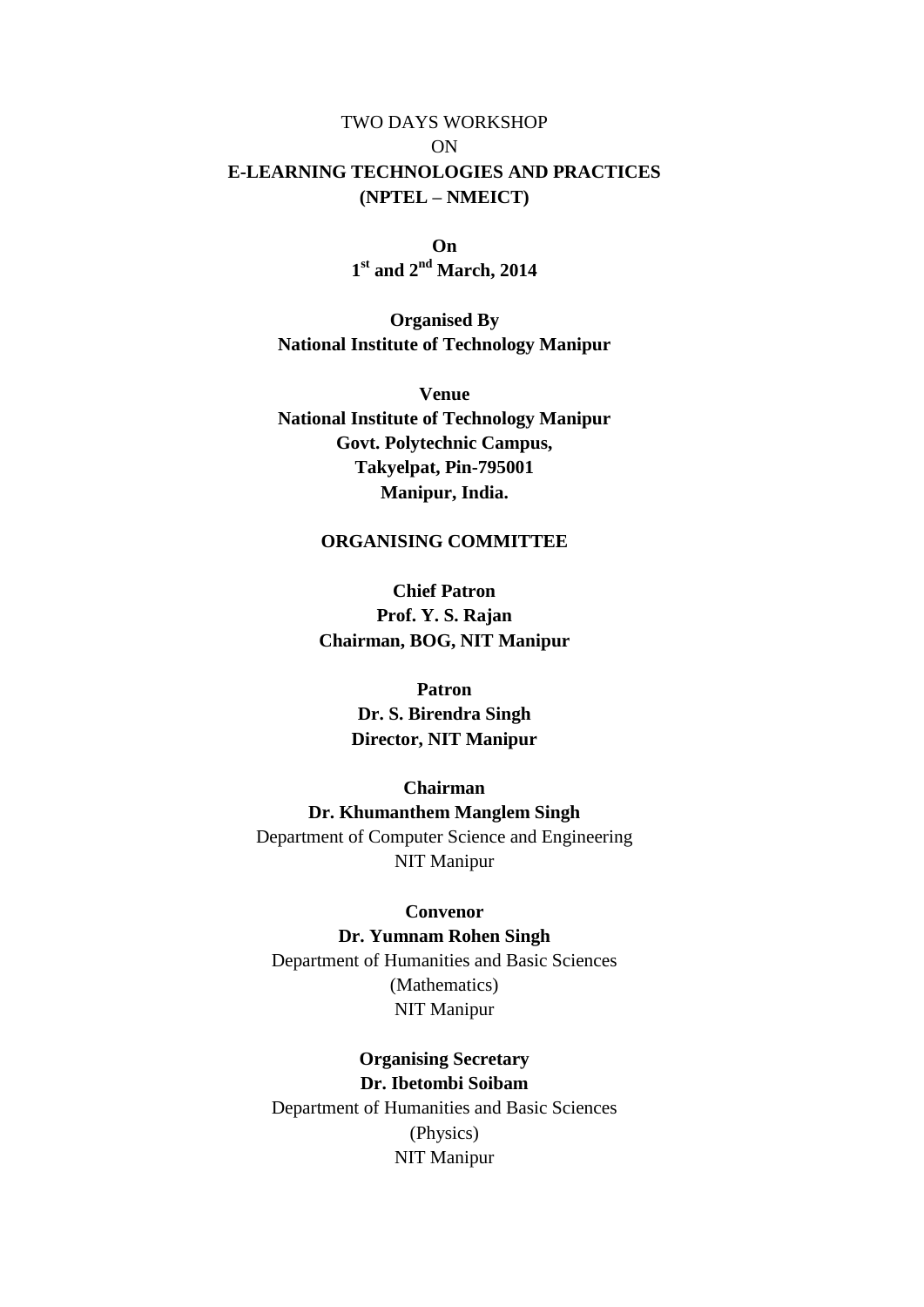## TWO DAYS WORKSHOP ON **E-LEARNING TECHNOLOGIES AND PRACTICES (NPTEL – NMEICT)**

**On 1 st and 2nd March, 2014**

**Organised By National Institute of Technology Manipur**

**Venue National Institute of Technology Manipur Govt. Polytechnic Campus, Takyelpat, Pin-795001 Manipur, India.**

## **ORGANISING COMMITTEE**

**Chief Patron Prof. Y. S. Rajan Chairman, BOG, NIT Manipur**

## **Patron**

**Dr. S. Birendra Singh Director, NIT Manipur**

## **Chairman**

**Dr. Khumanthem Manglem Singh** Department of Computer Science and Engineering NIT Manipur

### **Convenor**

**Dr. Yumnam Rohen Singh** Department of Humanities and Basic Sciences (Mathematics) NIT Manipur

## **Organising Secretary Dr. Ibetombi Soibam**

Department of Humanities and Basic Sciences (Physics) NIT Manipur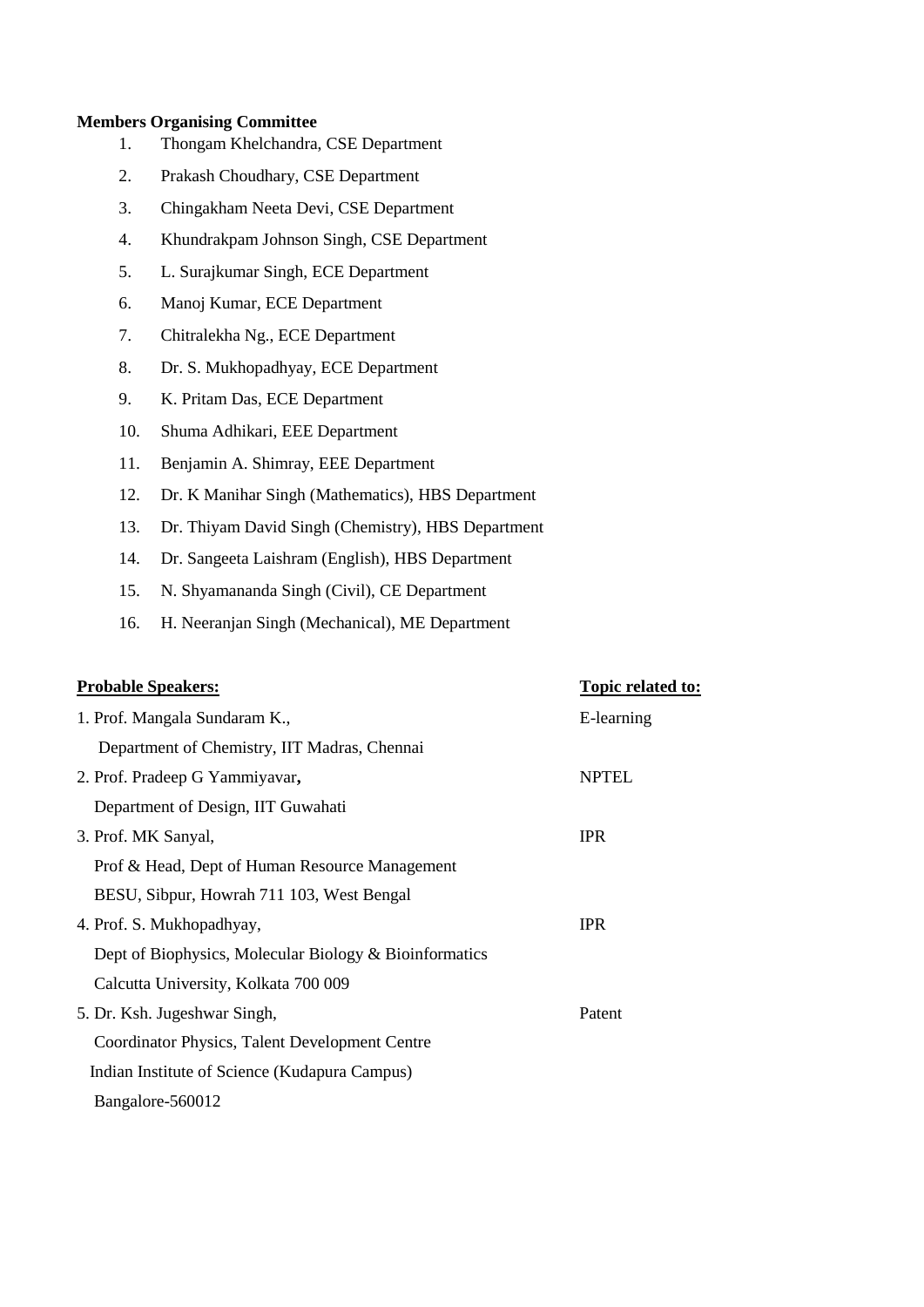#### **Members Organising Committee**

- 1. Thongam Khelchandra, CSE Department
- 2. Prakash Choudhary, CSE Department
- 3. [Chingakham Neeta Devi,](http://www.nitmanipur.in/cse/neeta.html) CSE Department
- 4. [Khundrakpam Johnson Singh,](http://www.nitmanipur.in/cse/john.html) CSE Department
- 5. L. Surajkumar Singh, ECE Department
- 6. Manoj Kumar, ECE Department
- 7. Chitralekha Ng., ECE Department
- 8. Dr. S. Mukhopadhyay, ECE Department
- 9. K. Pritam Das, ECE Department
- 10. Shuma Adhikari, EEE Department
- 11. Benjamin A. Shimray, EEE Department
- 12. Dr. K Manihar Singh (Mathematics), HBS Department
- 13. Dr. Thiyam David Singh (Chemistry), HBS Department
- 14. Dr. Sangeeta Laishram (English), HBS Department
- 15. N. Shyamananda Singh (Civil), CE Department
- 16. H. Neeranjan Singh (Mechanical), ME Department

## **Probable Speakers: Topic related to:**

| 1. Prof. Mangala Sundaram K.,                          | E-learning   |
|--------------------------------------------------------|--------------|
|                                                        |              |
| Department of Chemistry, IIT Madras, Chennai           |              |
| 2. Prof. Pradeep G Yammiyavar,                         | <b>NPTEL</b> |
| Department of Design, IIT Guwahati                     |              |
| 3. Prof. MK Sanyal,                                    | <b>IPR</b>   |
| Prof & Head, Dept of Human Resource Management         |              |
| BESU, Sibpur, Howrah 711 103, West Bengal              |              |
| 4. Prof. S. Mukhopadhyay,                              | <b>IPR</b>   |
| Dept of Biophysics, Molecular Biology & Bioinformatics |              |
| Calcutta University, Kolkata 700 009                   |              |
| 5. Dr. Ksh. Jugeshwar Singh,                           | Patent       |
| Coordinator Physics, Talent Development Centre         |              |
| Indian Institute of Science (Kudapura Campus)          |              |
| Bangalore-560012                                       |              |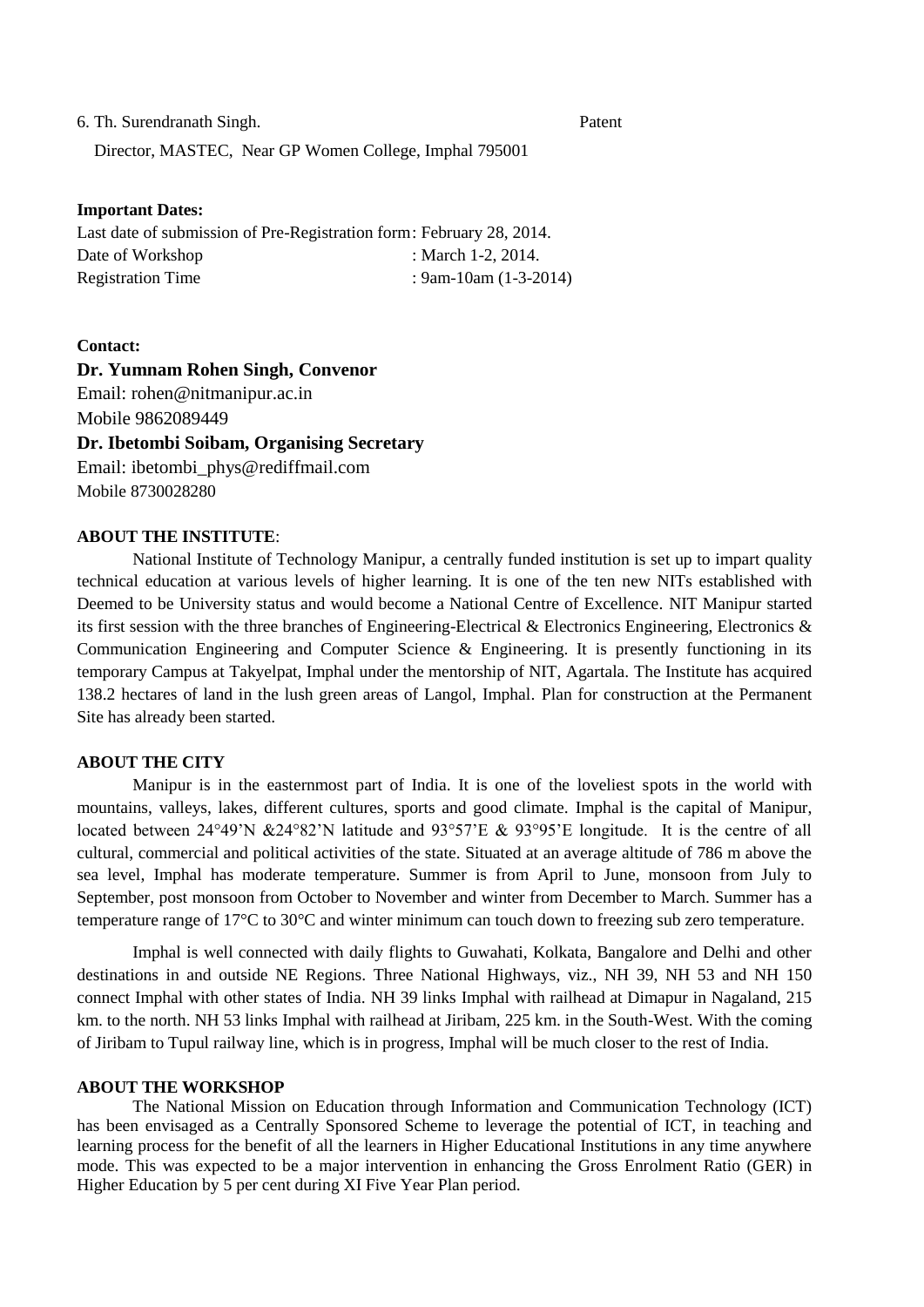6. Th. Surendranath Singh. Patent

Director, MASTEC, Near GP Women College, Imphal 795001

#### **Important Dates:**

Last date of submission of Pre-Registration form: February 28, 2014. Date of Workshop : March 1-2, 2014. Registration Time : 9am-10am (1-3-2014)

#### **Contact:**

## **Dr. Yumnam Rohen Singh, Convenor**

Email: rohen@nitmanipur.ac.in Mobile 9862089449

#### **Dr. Ibetombi Soibam, Organising Secretary**

Email: ibetombi\_phys@rediffmail.com Mobile 8730028280

### **ABOUT THE INSTITUTE**:

National Institute of Technology Manipur, a centrally funded institution is set up to impart quality technical education at various levels of higher learning. It is one of the ten new NITs established with Deemed to be University status and would become a National Centre of Excellence. NIT Manipur started its first session with the three branches of Engineering-Electrical & Electronics Engineering, Electronics & Communication Engineering and Computer Science  $\&$  Engineering. It is presently functioning in its temporary Campus at Takyelpat, Imphal under the mentorship of NIT, Agartala. The Institute has acquired 138.2 hectares of land in the lush green areas of Langol, Imphal. Plan for construction at the Permanent Site has already been started.

#### **ABOUT THE CITY**

Manipur is in the easternmost part of India. It is one of the loveliest spots in the world with mountains, valleys, lakes, different cultures, sports and good climate. Imphal is the capital of Manipur, located between 24°49'N &24°82'N latitude and 93°57'E & 93°95'E longitude. It is the centre of all cultural, commercial and political activities of the state. Situated at an average altitude of 786 m above the sea level, Imphal has moderate temperature. Summer is from April to June, monsoon from July to September, post monsoon from October to November and winter from December to March. Summer has a temperature range of 17°C to 30°C and winter minimum can touch down to freezing sub zero temperature.

Imphal is well connected with daily flights to Guwahati, Kolkata, Bangalore and Delhi and other destinations in and outside NE Regions. Three National Highways, viz., NH 39, NH 53 and NH 150 connect Imphal with other states of India. NH 39 links Imphal with railhead at Dimapur in Nagaland, 215 km. to the north. NH 53 links Imphal with railhead at Jiribam, 225 km. in the South-West. With the coming of Jiribam to Tupul railway line, which is in progress, Imphal will be much closer to the rest of India.

#### **ABOUT THE WORKSHOP**

The National Mission on Education through Information and Communication Technology (ICT) has been envisaged as a Centrally Sponsored Scheme to leverage the potential of ICT, in teaching and learning process for the benefit of all the learners in Higher Educational Institutions in any time anywhere mode. This was expected to be a major intervention in enhancing the Gross Enrolment Ratio (GER) in Higher Education by 5 per cent during XI Five Year Plan period.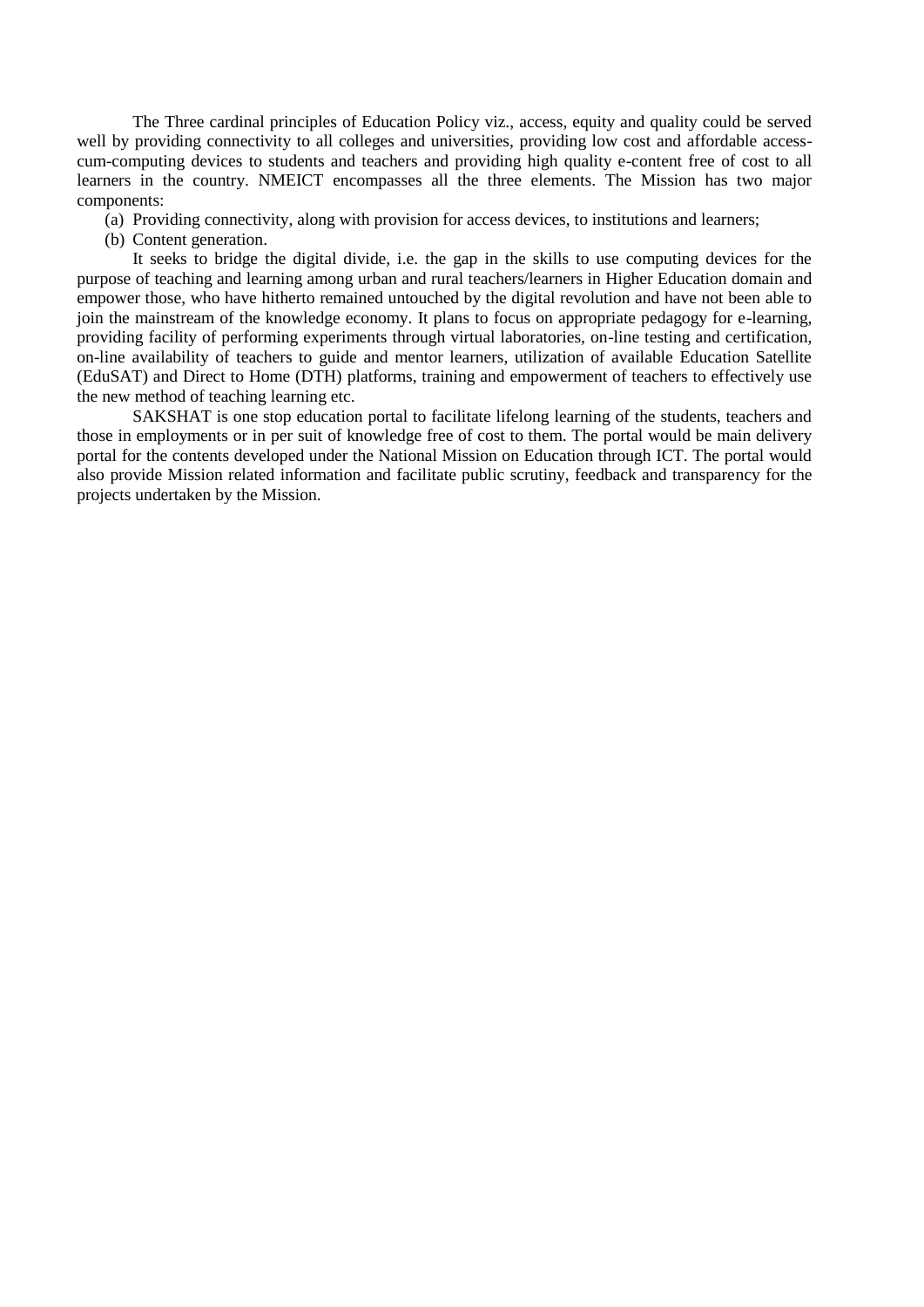The Three cardinal principles of Education Policy viz., access, equity and quality could be served well by providing connectivity to all colleges and universities, providing low cost and affordable accesscum-computing devices to students and teachers and providing high quality e-content free of cost to all learners in the country. NMEICT encompasses all the three elements. The Mission has two major components:

(a) Providing connectivity, along with provision for access devices, to institutions and learners;

(b) Content generation.

It seeks to bridge the digital divide, i.e. the gap in the skills to use computing devices for the purpose of teaching and learning among urban and rural teachers/learners in Higher Education domain and empower those, who have hitherto remained untouched by the digital revolution and have not been able to join the mainstream of the knowledge economy. It plans to focus on appropriate pedagogy for e-learning, providing facility of performing experiments through virtual laboratories, on-line testing and certification, on-line availability of teachers to guide and mentor learners, utilization of available Education Satellite (EduSAT) and Direct to Home (DTH) platforms, training and empowerment of teachers to effectively use the new method of teaching learning etc.

SAKSHAT is one stop education portal to facilitate lifelong learning of the students, teachers and those in employments or in per suit of knowledge free of cost to them. The portal would be main delivery portal for the contents developed under the National Mission on Education through ICT. The portal would also provide Mission related information and facilitate public scrutiny, feedback and transparency for the projects undertaken by the Mission.